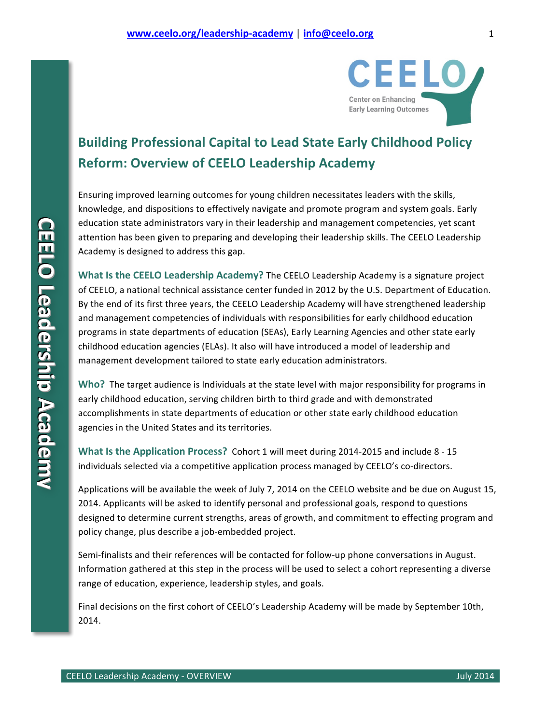

## **Building Professional Capital to Lead State Early Childhood Policy Reform: Overview of CEELO Leadership Academy**

Ensuring improved learning outcomes for young children necessitates leaders with the skills, knowledge, and dispositions to effectively navigate and promote program and system goals. Early education state administrators vary in their leadership and management competencies, yet scant attention has been given to preparing and developing their leadership skills. The CEELO Leadership Academy is designed to address this gap.

**What Is the CEELO Leadership Academy?** The CEELO Leadership Academy is a signature project of CEELO, a national technical assistance center funded in 2012 by the U.S. Department of Education. By the end of its first three years, the CEELO Leadership Academy will have strengthened leadership and management competencies of individuals with responsibilities for early childhood education programs in state departments of education (SEAs), Early Learning Agencies and other state early childhood education agencies (ELAs). It also will have introduced a model of leadership and management development tailored to state early education administrators.

Who? The target audience is Individuals at the state level with major responsibility for programs in early childhood education, serving children birth to third grade and with demonstrated accomplishments in state departments of education or other state early childhood education agencies in the United States and its territories.

**What Is the Application Process?** Cohort 1 will meet during 2014-2015 and include 8 - 15 individuals selected via a competitive application process managed by CEELO's co-directors.

Applications will be available the week of July 7, 2014 on the CEELO website and be due on August 15, 2014. Applicants will be asked to identify personal and professional goals, respond to questions designed to determine current strengths, areas of growth, and commitment to effecting program and policy change, plus describe a job-embedded project.

Semi-finalists and their references will be contacted for follow-up phone conversations in August. Information gathered at this step in the process will be used to select a cohort representing a diverse range of education, experience, leadership styles, and goals.

Final decisions on the first cohort of CEELO's Leadership Academy will be made by September 10th, 2014.